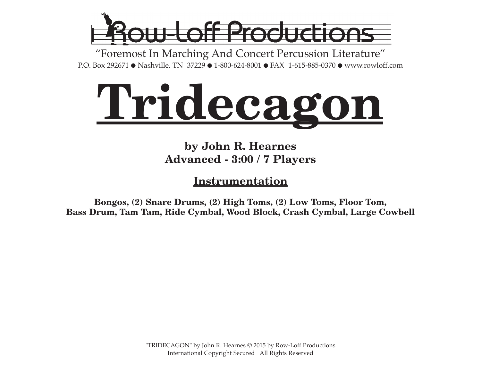

"Foremost In Marching And Concert Percussion Literature" P.O. Box 292671 ● Nashville, TN 37229 ● 1-800-624-8001 ● FAX 1-615-885-0370 ● www.rowloff.com



### **by John R. Hearnes Advanced - 3:00 / 7 Players**

**Instrumentation**

**Bongos, (2) Snare Drums, (2) High Toms, (2) Low Toms, Floor Tom, Bass Drum, Tam Tam, Ride Cymbal, Wood Block, Crash Cymbal, Large Cowbell**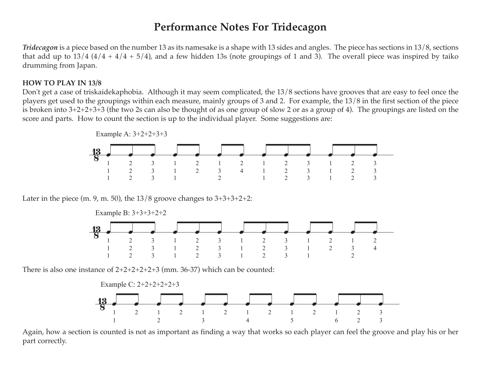#### **Performance Notes For Tridecagon**

*Tridecagon* is a piece based on the number 13 as its namesake is a shape with 13 sides and angles. The piece has sections in 13/8, sections that add up to  $13/4$  ( $4/4 + 4/4 + 5/4$ ), and a few hidden 13s (note groupings of 1 and 3). The overall piece was inspired by taiko drumming from Japan.

#### **HOW TO PLAY IN 13/8**

Don't get a case of triskaidekaphobia. Although it may seem complicated, the 13/8 sections have grooves that are easy to feel once the players get used to the groupings within each measure, mainly groups of 3 and 2. For example, the 13/8 in the first section of the piece is broken into 3+2+2+3+3 (the two 2s can also be thought of as one group of slow 2 or as a group of 4). The groupings are listed on the score and parts. How to count the section is up to the individual player. Some suggestions are:



Later in the piece (m. 9, m. 50), the  $13/8$  groove changes to  $3+3+3+2+2$ :



There is also one instance of  $2+2+2+2+2+3$  (mm. 36-37) which can be counted:



Again, how a section is counted is not as important as finding a way that works so each player can feel the groove and play his or her part correctly.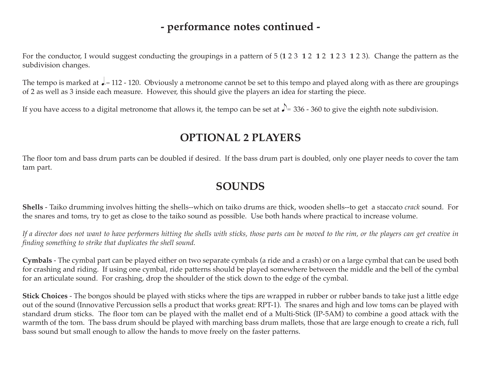#### **- performance notes continued -**

For the conductor, I would suggest conducting the groupings in a pattern of 5 (**1** 2 3 **1** 2 **1** 2 **1** 2 3 **1** 2 3). Change the pattern as the subdivision changes.

The tempo is marked at  $\Box$  = 112 - 120. Obviously a metronome cannot be set to this tempo and played along with as there are groupings of 2 as well as 3 inside each measure. However, this should give the players an idea for starting the piece.

If you have access to a digital metronome that allows it, the tempo can be set at  $J=336$  - 360 to give the eighth note subdivision.

#### **OPTIONAL 2 PLAYERS**

The floor tom and bass drum parts can be doubled if desired. If the bass drum part is doubled, only one player needs to cover the tam tam part.

#### **SOUNDS**

**Shells** - Taiko drumming involves hitting the shells--which on taiko drums are thick, wooden shells--to get a staccato *crack* sound. For the snares and toms, try to get as close to the taiko sound as possible. Use both hands where practical to increase volume.

If a director does not want to have performers hitting the shells with sticks, those parts can be moved to the rim, or the players can get creative in *finding something to strike that duplicates the shell sound.*

**Cymbals** - The cymbal part can be played either on two separate cymbals (a ride and a crash) or on a large cymbal that can be used both for crashing and riding. If using one cymbal, ride patterns should be played somewhere between the middle and the bell of the cymbal for an articulate sound. For crashing, drop the shoulder of the stick down to the edge of the cymbal.

**Stick Choices** - The bongos should be played with sticks where the tips are wrapped in rubber or rubber bands to take just a little edge out of the sound (Innovative Percussion sells a product that works great: RPT-1). The snares and high and low toms can be played with standard drum sticks. The floor tom can be played with the mallet end of a Multi-Stick (IP-5AM) to combine a good attack with the warmth of the tom. The bass drum should be played with marching bass drum mallets, those that are large enough to create a rich, full bass sound but small enough to allow the hands to move freely on the faster patterns.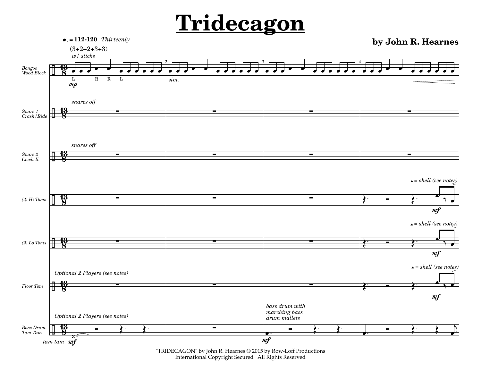

"TRIDECAGON" by John R. Hearnes © 2015 by Row-Loff Productions International Copyright Secured All Rights Reserved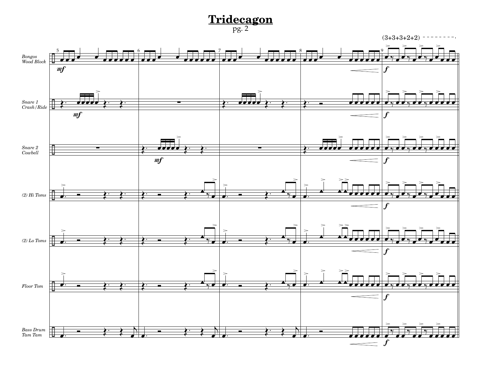pg. 2



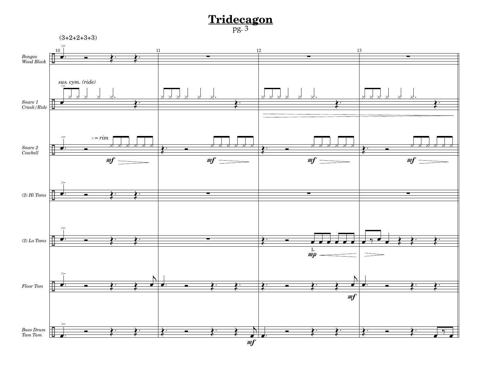# $\frac{\mathbf{Tridecagon}}{\text{pg. 3}}$

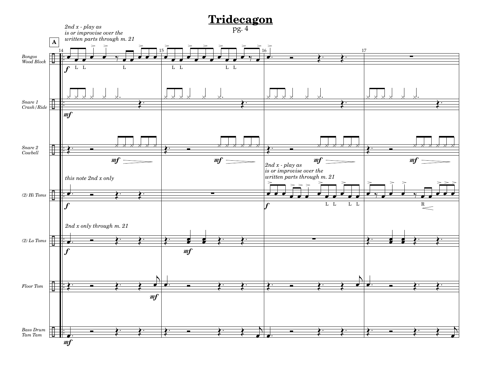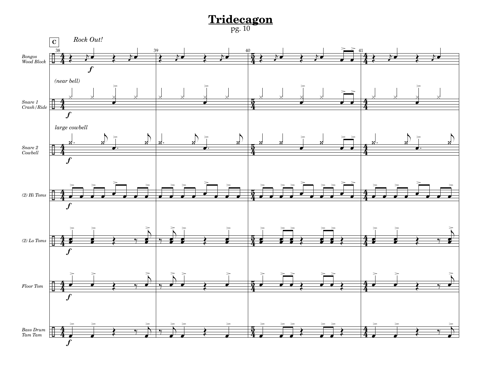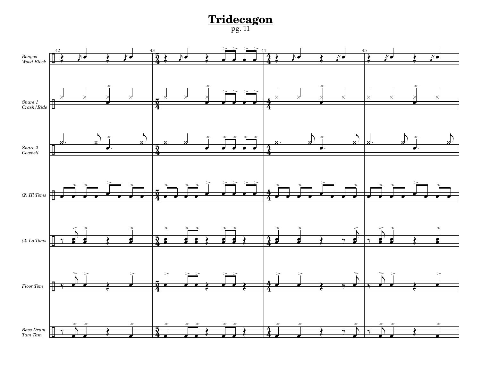**Tridecagon** pg. 11

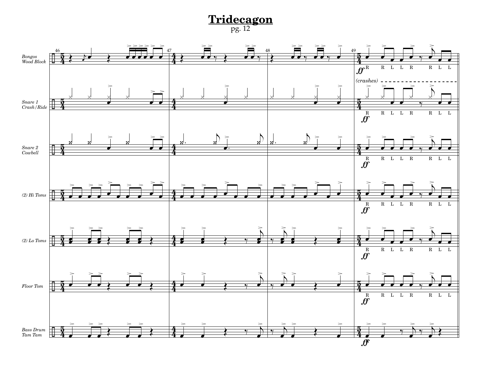**Tridecagon** pg. 12